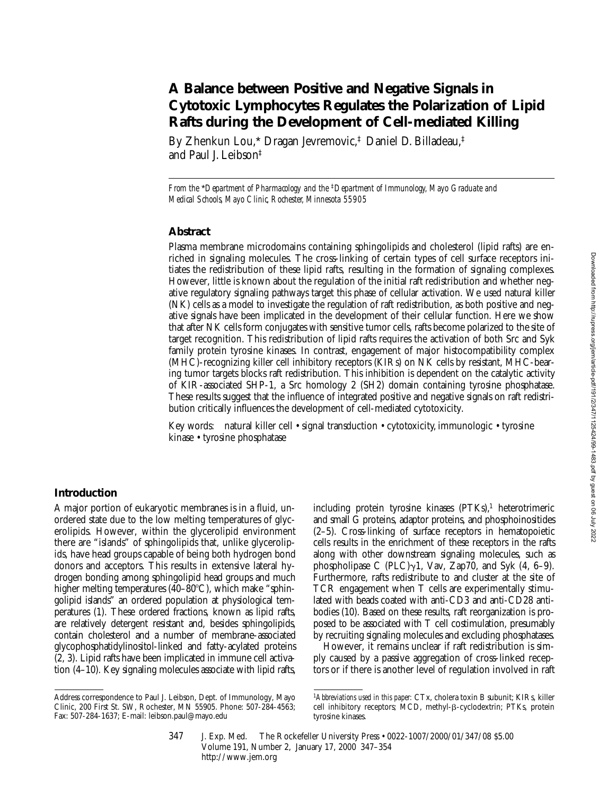# **A Balance between Positive and Negative Signals in Cytotoxic Lymphocytes Regulates the Polarization of Lipid Rafts during the Development of Cell-mediated Killing**

By Zhenkun Lou,\* Dragan Jevremovic,‡ Daniel D. Billadeau,‡ and Paul J. Leibson‡

*From the* \**Department of Pharmacology and the* ‡*Department of Immunology, Mayo Graduate and Medical Schools, Mayo Clinic, Rochester, Minnesota 55905*

### **Abstract**

Plasma membrane microdomains containing sphingolipids and cholesterol (lipid rafts) are enriched in signaling molecules. The cross-linking of certain types of cell surface receptors initiates the redistribution of these lipid rafts, resulting in the formation of signaling complexes. However, little is known about the regulation of the initial raft redistribution and whether negative regulatory signaling pathways target this phase of cellular activation. We used natural killer (NK) cells as a model to investigate the regulation of raft redistribution, as both positive and negative signals have been implicated in the development of their cellular function. Here we show that after NK cells form conjugates with sensitive tumor cells, rafts become polarized to the site of target recognition. This redistribution of lipid rafts requires the activation of both Src and Syk family protein tyrosine kinases. In contrast, engagement of major histocompatibility complex (MHC)-recognizing killer cell inhibitory receptors (KIRs) on NK cells by resistant, MHC-bearing tumor targets blocks raft redistribution. This inhibition is dependent on the catalytic activity of KIR-associated SHP-1, a Src homology 2 (SH2) domain containing tyrosine phosphatase. These results suggest that the influence of integrated positive and negative signals on raft redistribution critically influences the development of cell-mediated cytotoxicity.

Key words: natural killer cell • signal transduction • cytotoxicity, immunologic • tyrosine kinase • tyrosine phosphatase

#### **Introduction**

A major portion of eukaryotic membranes is in a fluid, unordered state due to the low melting temperatures of glycerolipids. However, within the glycerolipid environment there are "islands" of sphingolipids that, unlike glycerolipids, have head groups capable of being both hydrogen bond donors and acceptors. This results in extensive lateral hydrogen bonding among sphingolipid head groups and much higher melting temperatures (40–80 $^{\circ}$ C), which make "sphingolipid islands" an ordered population at physiological temperatures (1). These ordered fractions, known as lipid rafts, are relatively detergent resistant and, besides sphingolipids, contain cholesterol and a number of membrane-associated glycophosphatidylinositol-linked and fatty-acylated proteins (2, 3). Lipid rafts have been implicated in immune cell activation (4–10). Key signaling molecules associate with lipid rafts,

including protein tyrosine kinases (PTKs),<sup>1</sup> heterotrimeric and small G proteins, adaptor proteins, and phosphoinositides (2–5). Cross-linking of surface receptors in hematopoietic cells results in the enrichment of these receptors in the rafts along with other downstream signaling molecules, such as phospholipase C (PLC) $\gamma$ 1, Vav, Zap70, and Syk (4, 6–9). Furthermore, rafts redistribute to and cluster at the site of TCR engagement when T cells are experimentally stimulated with beads coated with anti-CD3 and anti-CD28 antibodies (10). Based on these results, raft reorganization is proposed to be associated with T cell costimulation, presumably by recruiting signaling molecules and excluding phosphatases.

However, it remains unclear if raft redistribution is simply caused by a passive aggregation of cross-linked receptors or if there is another level of regulation involved in raft

Address correspondence to Paul J. Leibson, Dept. of Immunology, Mayo Clinic, 200 First St. SW, Rochester, MN 55905. Phone: 507-284-4563; Fax: 507-284-1637; E-mail: leibson.paul@mayo.edu

<sup>1</sup>*Abbreviations used in this paper:* CTx, cholera toxin B subunit; KIRs, killer cell inhibitory receptors; MCD, methyl-β-cyclodextrin; PTKs, protein tyrosine kinases.

<sup>347</sup> J. Exp. Med. © The Rockefeller University Press • 0022-1007/2000/01/347/08 \$5.00 Volume 191, Number 2, January 17, 2000 347–354 http://www.jem.org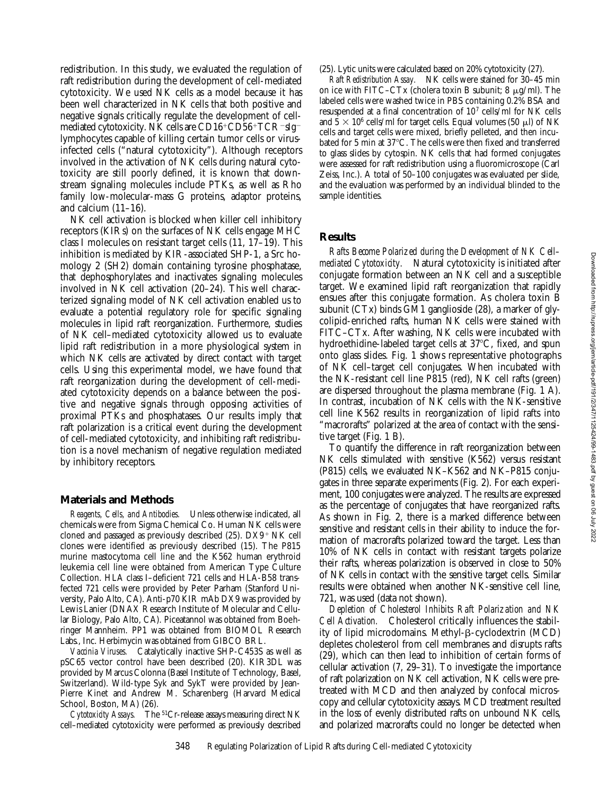redistribution. In this study, we evaluated the regulation of raft redistribution during the development of cell-mediated cytotoxicity. We used NK cells as a model because it has been well characterized in NK cells that both positive and negative signals critically regulate the development of cellmediated cytotoxicity. NK cells are CD16+CD56+TCR-sIglymphocytes capable of killing certain tumor cells or virusinfected cells ("natural cytotoxicity"). Although receptors involved in the activation of NK cells during natural cytotoxicity are still poorly defined, it is known that downstream signaling molecules include PTKs, as well as Rho family low-molecular-mass G proteins, adaptor proteins, and calcium  $(11–16)$ .

NK cell activation is blocked when killer cell inhibitory receptors (KIRs) on the surfaces of NK cells engage MHC class I molecules on resistant target cells (11, 17–19). This inhibition is mediated by KIR-associated SHP-1, a Src homology 2 (SH2) domain containing tyrosine phosphatase, that dephosphorylates and inactivates signaling molecules involved in NK cell activation (20–24). This well characterized signaling model of NK cell activation enabled us to evaluate a potential regulatory role for specific signaling molecules in lipid raft reorganization. Furthermore, studies of NK cell–mediated cytotoxicity allowed us to evaluate lipid raft redistribution in a more physiological system in which NK cells are activated by direct contact with target cells. Using this experimental model, we have found that raft reorganization during the development of cell-mediated cytotoxicity depends on a balance between the positive and negative signals through opposing activities of proximal PTKs and phosphatases. Our results imply that raft polarization is a critical event during the development of cell-mediated cytotoxicity, and inhibiting raft redistribution is a novel mechanism of negative regulation mediated by inhibitory receptors.

#### **Materials and Methods**

*Reagents, Cells, and Antibodies.* Unless otherwise indicated, all chemicals were from Sigma Chemical Co. Human NK cells were cloned and passaged as previously described  $(25)$ .  $DX9+NK$  cell clones were identified as previously described (15). The P815 murine mastocytoma cell line and the K562 human erythroid leukemia cell line were obtained from American Type Culture Collection. HLA class I–deficient 721 cells and HLA-B58 transfected 721 cells were provided by Peter Parham (Stanford University, Palo Alto, CA). Anti-p70 KIR mAb DX9 was provided by Lewis Lanier (DNAX Research Institute of Molecular and Cellular Biology, Palo Alto, CA). Piceatannol was obtained from Boehringer Mannheim. PP1 was obtained from BIOMOL Research Labs., Inc. Herbimycin was obtained from GIBCO BRL.

*Vaccinia Viruses.* Catalytically inactive SHP-C453S as well as pSC65 vector control have been described (20). KIR3DL was provided by Marcus Colonna (Basel Institute of Technology, Basel, Switzerland). Wild-type Syk and SykT were provided by Jean-Pierre Kinet and Andrew M. Scharenberg (Harvard Medical School, Boston, MA) (26).

*Cytotoxicity Assays.* The 51Cr-release assays measuring direct NK cell–mediated cytotoxicity were performed as previously described (25). Lytic units were calculated based on 20% cytotoxicity (27).

*Raft Redistribution Assay.* NK cells were stained for 30–45 min on ice with FITC–CTx (cholera toxin B subunit;  $8 \mu g/ml$ ). The labeled cells were washed twice in PBS containing 0.2% BSA and resuspended at a final concentration of 107 cells/ml for NK cells and  $5 \times 10^6$  cells/ml for target cells. Equal volumes (50 µl) of NK cells and target cells were mixed, briefly pelleted, and then incubated for 5 min at 37°C. The cells were then fixed and transferred to glass slides by cytospin. NK cells that had formed conjugates were assessed for raft redistribution using a fluoromicroscope (Carl Zeiss, Inc.). A total of 50–100 conjugates was evaluated per slide, and the evaluation was performed by an individual blinded to the sample identities.

## **Results**

*Rafts Become Polarized during the Development of NK Cell– mediated Cytotoxicity.* Natural cytotoxicity is initiated after conjugate formation between an NK cell and a susceptible target. We examined lipid raft reorganization that rapidly ensues after this conjugate formation. As cholera toxin B subunit (CTx) binds GM1 ganglioside (28), a marker of glycolipid-enriched rafts, human NK cells were stained with FITC–CTx. After washing, NK cells were incubated with hydroethidine-labeled target cells at 37°C, fixed, and spun onto glass slides. Fig. 1 shows representative photographs of NK cell–target cell conjugates. When incubated with the NK-resistant cell line P815 (red), NK cell rafts (green) are dispersed throughout the plasma membrane (Fig. 1 A). In contrast, incubation of NK cells with the NK-sensitive cell line K562 results in reorganization of lipid rafts into "macrorafts" polarized at the area of contact with the sensitive target (Fig. 1 B).

To quantify the difference in raft reorganization between NK cells stimulated with sensitive (K562) versus resistant (P815) cells, we evaluated NK–K562 and NK–P815 conjugates in three separate experiments (Fig. 2). For each experiment, 100 conjugates were analyzed. The results are expressed as the percentage of conjugates that have reorganized rafts. As shown in Fig. 2, there is a marked difference between sensitive and resistant cells in their ability to induce the formation of macrorafts polarized toward the target. Less than 10% of NK cells in contact with resistant targets polarize their rafts, whereas polarization is observed in close to 50% of NK cells in contact with the sensitive target cells. Similar results were obtained when another NK-sensitive cell line, 721, was used (data not shown).

*Depletion of Cholesterol Inhibits Raft Polarization and NK Cell Activation.* Cholesterol critically influences the stability of lipid microdomains. Methyl-β-cyclodextrin (MCD) depletes cholesterol from cell membranes and disrupts rafts (29), which can then lead to inhibition of certain forms of cellular activation (7, 29–31). To investigate the importance of raft polarization on NK cell activation, NK cells were pretreated with MCD and then analyzed by confocal microscopy and cellular cytotoxicity assays. MCD treatment resulted in the loss of evenly distributed rafts on unbound NK cells, and polarized macrorafts could no longer be detected when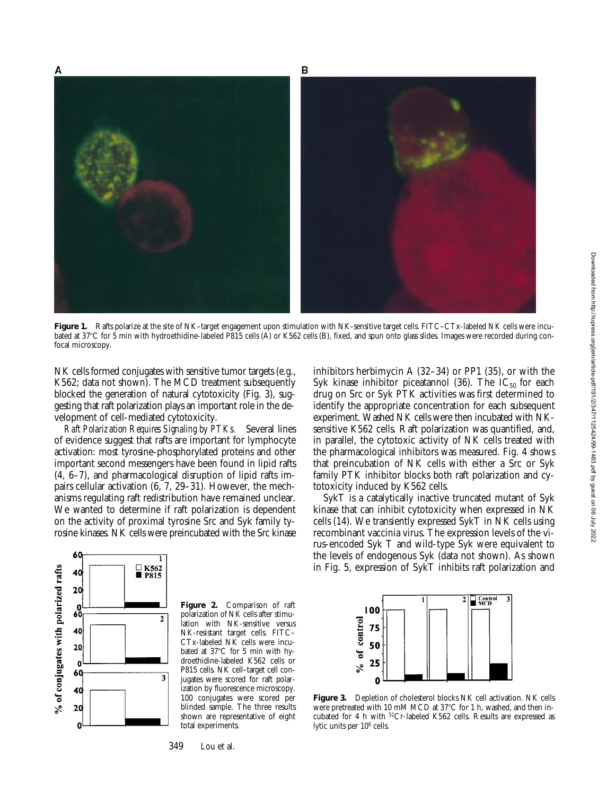

Figure 1. Rafts polarize at the site of NK-target engagement upon stimulation with NK-sensitive target cells. FITC-CTx-labeled NK cells were incubated at 37°C for 5 min with hydroethidine-labeled P815 cells (A) or K562 cells (B), fixed, and spun onto glass slides. Images were recorded during confocal microscopy.

NK cells formed conjugates with sensitive tumor targets (e.g., K562; data not shown). The MCD treatment subsequently blocked the generation of natural cytotoxicity (Fig. 3), suggesting that raft polarization plays an important role in the development of cell-mediated cytotoxicity.

*Raft Polarization Requires Signaling by PTKs.* Several lines of evidence suggest that rafts are important for lymphocyte activation: most tyrosine-phosphorylated proteins and other important second messengers have been found in lipid rafts (4, 6–7), and pharmacological disruption of lipid rafts impairs cellular activation (6, 7, 29–31). However, the mechanisms regulating raft redistribution have remained unclear. We wanted to determine if raft polarization is dependent on the activity of proximal tyrosine Src and Syk family tyrosine kinases. NK cells were preincubated with the Src kinase



**Figure 2.** Comparison of raft polarization of NK cells after stimulation with NK-sensitive versus NK-resistant target cells. FITC– CTx-labeled NK cells were incubated at 37°C for 5 min with hydroethidine-labeled K562 cells or P815 cells. NK cell–target cell conjugates were scored for raft polarization by fluorescence microscopy. 100 conjugates were scored per blinded sample. The three results shown are representative of eight total experiments.

349 Lou et al.

inhibitors herbimycin A (32–34) or PP1 (35), or with the Syk kinase inhibitor piceatannol (36). The  $IC_{50}$  for each drug on Src or Syk PTK activities was first determined to identify the appropriate concentration for each subsequent experiment. Washed NK cells were then incubated with NKsensitive K562 cells. Raft polarization was quantified, and, in parallel, the cytotoxic activity of NK cells treated with the pharmacological inhibitors was measured. Fig. 4 shows that preincubation of NK cells with either a Src or Syk family PTK inhibitor blocks both raft polarization and cytotoxicity induced by K562 cells.

SykT is a catalytically inactive truncated mutant of Syk kinase that can inhibit cytotoxicity when expressed in NK cells (14). We transiently expressed SykT in NK cells using recombinant vaccinia virus. The expression levels of the virus-encoded Syk T and wild-type Syk were equivalent to the levels of endogenous Syk (data not shown). As shown in Fig. 5, expression of SykT inhibits raft polarization and



**Figure 3.** Depletion of cholesterol blocks NK cell activation. NK cells were pretreated with 10 mM MCD at 37°C for 1 h, washed, and then incubated for 4 h with 51Cr-labeled K562 cells. Results are expressed as lytic units per 106 cells.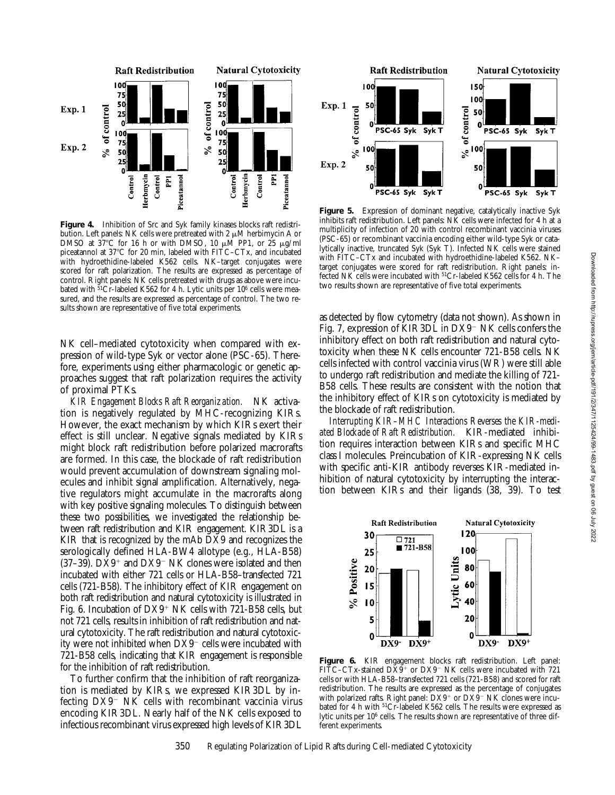

Figure 4. Inhibition of Src and Syk family kinases blocks raft redistribution. Left panels: NK cells were pretreated with 2  $\mu$ M herbimycin A or DMSO at  $37^{\circ}$ C for 16 h or with DMSO, 10  $\mu$ M PP1, or 25  $\mu$ g/ml piceatannol at 37°C for 20 min, labeled with FITC–CTx, and incubated with hydroethidine-labeled K562 cells. NK–target conjugates were scored for raft polarization. The results are expressed as percentage of control. Right panels: NK cells pretreated with drugs as above were incubated with  $51Cr$ -labeled K562 for 4 h. Lytic units per 10<sup>6</sup> cells were measured, and the results are expressed as percentage of control. The two results shown are representative of five total experiments.

NK cell–mediated cytotoxicity when compared with expression of wild-type Syk or vector alone (PSC-65). Therefore, experiments using either pharmacologic or genetic approaches suggest that raft polarization requires the activity of proximal PTKs.

*KIR Engagement Blocks Raft Reorganization.* NK activation is negatively regulated by MHC-recognizing KIRs. However, the exact mechanism by which KIRs exert their effect is still unclear. Negative signals mediated by KIRs might block raft redistribution before polarized macrorafts are formed. In this case, the blockade of raft redistribution would prevent accumulation of downstream signaling molecules and inhibit signal amplification. Alternatively, negative regulators might accumulate in the macrorafts along with key positive signaling molecules. To distinguish between these two possibilities, we investigated the relationship between raft redistribution and KIR engagement. KIR3DL is a KIR that is recognized by the mAb DX9 and recognizes the serologically defined HLA-BW4 allotype (e.g., HLA-B58) (37–39).  $DX9^+$  and  $DX9^-$  NK clones were isolated and then incubated with either 721 cells or HLA-B58–transfected 721 cells (721-B58). The inhibitory effect of KIR engagement on both raft redistribution and natural cytotoxicity is illustrated in Fig. 6. Incubation of  $DX9+NK$  cells with 721-B58 cells, but not 721 cells, results in inhibition of raft redistribution and natural cytotoxicity. The raft redistribution and natural cytotoxicity were not inhibited when  $DX9^-$  cells were incubated with 721-B58 cells, indicating that KIR engagement is responsible for the inhibition of raft redistribution.

To further confirm that the inhibition of raft reorganization is mediated by KIRs, we expressed KIR3DL by infecting  $DX9$ <sup>-</sup> NK cells with recombinant vaccinia virus encoding KIR3DL. Nearly half of the NK cells exposed to infectious recombinant virus expressed high levels of KIR3DL



Figure 5. Expression of dominant negative, catalytically inactive Syk inhibits raft redistribution. Left panels: NK cells were infected for 4 h at a multiplicity of infection of 20 with control recombinant vaccinia viruses (PSC-65) or recombinant vaccinia encoding either wild-type Syk or catalytically inactive, truncated Syk (Syk T). Infected NK cells were stained with FITC–CTx and incubated with hydroethidine-labeled K562. NK– target conjugates were scored for raft redistribution. Right panels: infected NK cells were incubated with 51Cr-labeled K562 cells for 4 h. The two results shown are representative of five total experiments.

as detected by flow cytometry (data not shown). As shown in Fig. 7, expression of KIR3DL in  $DX9^-$  NK cells confers the inhibitory effect on both raft redistribution and natural cytotoxicity when these NK cells encounter 721-B58 cells. NK cells infected with control vaccinia virus (WR) were still able to undergo raft redistribution and mediate the killing of 721- B58 cells. These results are consistent with the notion that the inhibitory effect of KIRs on cytotoxicity is mediated by the blockade of raft redistribution.

*Interrupting KIR–MHC Interactions Reverses the KIR-mediated Blockade of Raft Redistribution.* KIR-mediated inhibition requires interaction between KIRs and specific MHC class I molecules. Preincubation of KIR-expressing NK cells with specific anti-KIR antibody reverses KIR-mediated inhibition of natural cytotoxicity by interrupting the interaction between KIRs and their ligands (38, 39). To test



**Figure 6.** KIR engagement blocks raft redistribution. Left panel: FITC–CTx-stained  $D\bar{X}9$ <sup>+</sup> or  $D X 9$ <sup>-</sup> NK cells were incubated with 721 cells or with HLA-B58–transfected 721 cells (721-B58) and scored for raft redistribution. The results are expressed as the percentage of conjugates with polarized rafts. Right panel:  $DX9+$  or  $DX9-$  NK clones were incubated for 4 h with <sup>51</sup>Cr-labeled K562 cells. The results were expressed as lytic units per 106 cells. The results shown are representative of three different experiments.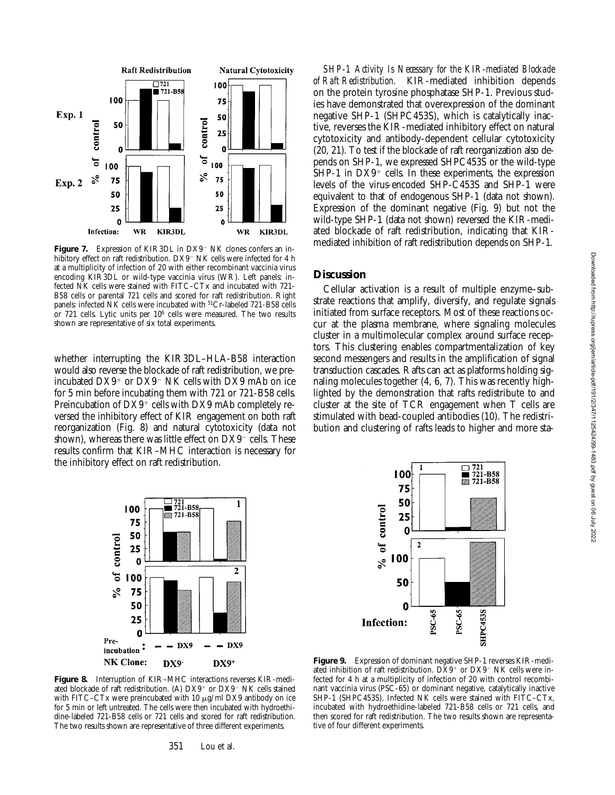

**Figure 7.** Expression of KIR3DL in DX9<sup>-</sup> NK clones confers an inhibitory effect on raft redistribution. DX9<sup>-</sup> NK cells were infected for 4 h at a multiplicity of infection of 20 with either recombinant vaccinia virus encoding KIR3DL or wild-type vaccinia virus (WR). Left panels: infected NK cells were stained with FITC–CTx and incubated with 721- B58 cells or parental 721 cells and scored for raft redistribution. Right panels: infected NK cells were incubated with 51Cr-labeled 721-B58 cells or 721 cells. Lytic units per 106 cells were measured. The two results shown are representative of six total experiments.

whether interrupting the KIR3DL–HLA-B58 interaction would also reverse the blockade of raft redistribution, we preincubated  $DX9^+$  or  $DX9^-$  NK cells with DX9 mAb on ice for 5 min before incubating them with 721 or 721-B58 cells. Preincubation of  $DX9^+$  cells with DX9 mAb completely reversed the inhibitory effect of KIR engagement on both raft reorganization (Fig. 8) and natural cytotoxicity (data not shown), whereas there was little effect on  $DX9^-$  cells. These results confirm that KIR–MHC interaction is necessary for the inhibitory effect on raft redistribution.



**Figure 8.** Interruption of KIR–MHC interactions reverses KIR-mediated blockade of raft redistribution. (A)  $DX9^+$  or  $DX9^-$  NK cells stained with FITC–CTx were preincubated with 10  $\mu$ g/ml DX9 antibody on ice for 5 min or left untreated. The cells were then incubated with hydroethidine-labeled 721-B58 cells or 721 cells and scored for raft redistribution. The two results shown are representative of three different experiments.

*SHP-1 Activity Is Necessary for the KIR-mediated Blockade of Raft Redistribution.* KIR-mediated inhibition depends on the protein tyrosine phosphatase SHP-1. Previous studies have demonstrated that overexpression of the dominant negative SHP-1 (SHPC453S), which is catalytically inactive, reverses the KIR-mediated inhibitory effect on natural cytotoxicity and antibody-dependent cellular cytotoxicity (20, 21). To test if the blockade of raft reorganization also depends on SHP-1, we expressed SHPC453S or the wild-type  $SHP-1$  in  $DX9^+$  cells. In these experiments, the expression levels of the virus-encoded SHP-C453S and SHP-1 were equivalent to that of endogenous SHP-1 (data not shown). Expression of the dominant negative (Fig. 9) but not the wild-type SHP-1 (data not shown) reversed the KIR-mediated blockade of raft redistribution, indicating that KIRmediated inhibition of raft redistribution depends on SHP-1.

#### **Discussion**

Cellular activation is a result of multiple enzyme–substrate reactions that amplify, diversify, and regulate signals initiated from surface receptors. Most of these reactions occur at the plasma membrane, where signaling molecules cluster in a multimolecular complex around surface receptors. This clustering enables compartmentalization of key second messengers and results in the amplification of signal transduction cascades. Rafts can act as platforms holding signaling molecules together (4, 6, 7). This was recently highlighted by the demonstration that rafts redistribute to and cluster at the site of TCR engagement when T cells are stimulated with bead-coupled antibodies (10). The redistribution and clustering of rafts leads to higher and more sta-



**Figure 9.** Expression of dominant negative SHP-1 reverses KIR-mediated inhibition of raft redistribution.  $D\bar{X}9$ <sup>+</sup> or  $D\bar{X}9$ <sup>-</sup> NK cells were infected for 4 h at a multiplicity of infection of 20 with control recombinant vaccinia virus (PSC-65) or dominant negative, catalytically inactive SHP-1 (SHPC453S). Infected NK cells were stained with FITC–CTx, incubated with hydroethidine-labeled 721-B58 cells or 721 cells, and then scored for raft redistribution. The two results shown are representative of four different experiments.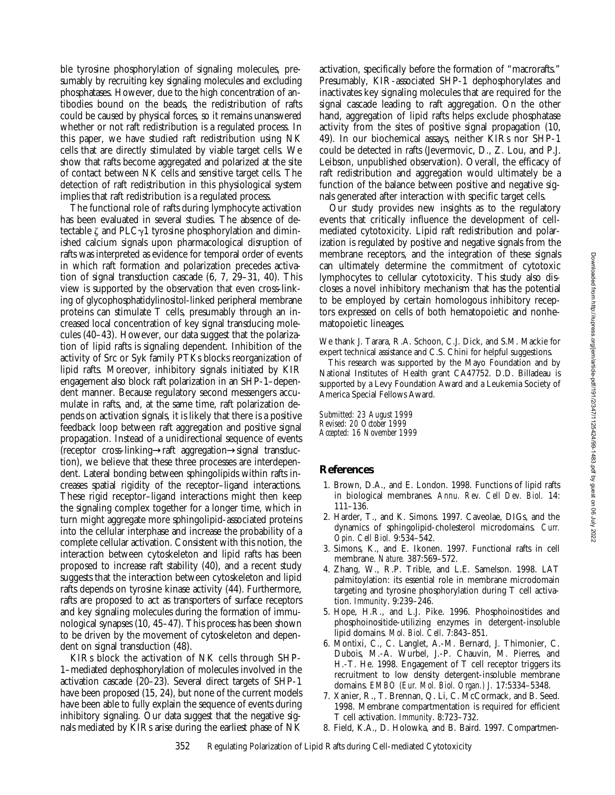ble tyrosine phosphorylation of signaling molecules, presumably by recruiting key signaling molecules and excluding phosphatases. However, due to the high concentration of antibodies bound on the beads, the redistribution of rafts could be caused by physical forces, so it remains unanswered whether or not raft redistribution is a regulated process. In this paper, we have studied raft redistribution using NK cells that are directly stimulated by viable target cells. We show that rafts become aggregated and polarized at the site of contact between NK cells and sensitive target cells. The detection of raft redistribution in this physiological system implies that raft redistribution is a regulated process.

The functional role of rafts during lymphocyte activation has been evaluated in several studies. The absence of detectable  $\zeta$  and PLC $\gamma$ 1 tyrosine phosphorylation and diminished calcium signals upon pharmacological disruption of rafts was interpreted as evidence for temporal order of events in which raft formation and polarization precedes activation of signal transduction cascade (6, 7, 29–31, 40). This view is supported by the observation that even cross-linking of glycophosphatidylinositol-linked peripheral membrane proteins can stimulate T cells, presumably through an increased local concentration of key signal transducing molecules (40–43). However, our data suggest that the polarization of lipid rafts is signaling dependent. Inhibition of the activity of Src or Syk family PTKs blocks reorganization of lipid rafts. Moreover, inhibitory signals initiated by KIR engagement also block raft polarization in an SHP-1–dependent manner. Because regulatory second messengers accumulate in rafts, and, at the same time, raft polarization depends on activation signals, it is likely that there is a positive feedback loop between raft aggregation and positive signal propagation. Instead of a unidirectional sequence of events (receptor cross-linking→raft aggregation→signal transduction), we believe that these three processes are interdependent. Lateral bonding between sphingolipids within rafts increases spatial rigidity of the receptor–ligand interactions. These rigid receptor–ligand interactions might then keep the signaling complex together for a longer time, which in turn might aggregate more sphingolipid-associated proteins into the cellular interphase and increase the probability of a complete cellular activation. Consistent with this notion, the interaction between cytoskeleton and lipid rafts has been proposed to increase raft stability (40), and a recent study suggests that the interaction between cytoskeleton and lipid rafts depends on tyrosine kinase activity (44). Furthermore, rafts are proposed to act as transporters of surface receptors and key signaling molecules during the formation of immunological synapses (10, 45–47). This process has been shown to be driven by the movement of cytoskeleton and dependent on signal transduction (48).

KIRs block the activation of NK cells through SHP-1–mediated dephosphorylation of molecules involved in the activation cascade (20–23). Several direct targets of SHP-1 have been proposed  $(15, 24)$ , but none of the current models have been able to fully explain the sequence of events during inhibitory signaling. Our data suggest that the negative signals mediated by KIRs arise during the earliest phase of NK

activation, specifically before the formation of "macrorafts." Presumably, KIR-associated SHP-1 dephosphorylates and inactivates key signaling molecules that are required for the signal cascade leading to raft aggregation. On the other hand, aggregation of lipid rafts helps exclude phosphatase activity from the sites of positive signal propagation (10, 49). In our biochemical assays, neither KIRs nor SHP-1 could be detected in rafts (Jevermovic, D., Z. Lou, and P.J. Leibson, unpublished observation). Overall, the efficacy of raft redistribution and aggregation would ultimately be a function of the balance between positive and negative signals generated after interaction with specific target cells.

Our study provides new insights as to the regulatory events that critically influence the development of cellmediated cytotoxicity. Lipid raft redistribution and polarization is regulated by positive and negative signals from the membrane receptors, and the integration of these signals can ultimately determine the commitment of cytotoxic lymphocytes to cellular cytotoxicity. This study also discloses a novel inhibitory mechanism that has the potential to be employed by certain homologous inhibitory receptors expressed on cells of both hematopoietic and nonhematopoietic lineages.

We thank J. Tarara, R.A. Schoon, C.J. Dick, and S.M. Mackie for expert technical assistance and C.S. Chini for helpful suggestions.

This research was supported by the Mayo Foundation and by National Institutes of Health grant CA47752. D.D. Billadeau is supported by a Levy Foundation Award and a Leukemia Society of America Special Fellows Award.

*Submitted: 23 August 1999 Revised: 20 October 1999 Accepted: 16 November 1999*

# **References**

- 1. Brown, D.A., and E. London. 1998. Functions of lipid rafts in biological membranes. *Annu. Rev. Cell Dev. Biol.* 14: 111–136.
- 2. Harder, T., and K. Simons. 1997. Caveolae, DIGs, and the dynamics of sphingolipid-cholesterol microdomains. *Curr. Opin. Cell Biol.* 9:534–542.
- 3. Simons, K., and E. Ikonen. 1997. Functional rafts in cell membrane. *Nature.* 387:569–572.
- 4. Zhang, W., R.P. Trible, and L.E. Samelson. 1998. LAT palmitoylation: its essential role in membrane microdomain targeting and tyrosine phosphorylation during T cell activation. *Immunity*. 9:239–246.
- 5. Hope, H.R., and L.J. Pike. 1996. Phosphoinositides and phosphoinositide-utilizing enzymes in detergent-insoluble lipid domains. *Mol. Biol. Cell*. 7:843–851.
- 6. Montixi, C., C. Langlet, A.-M. Bernard, J. Thimonier, C. Dubois, M.-A. Wurbel, J.-P. Chauvin, M. Pierres, and H.-T. He. 1998. Engagement of T cell receptor triggers its recruitment to low density detergent-insoluble membrane domains. *EMBO (Eur. Mol. Biol. Organ.) J.* 17:5334–5348.
- 7. Xanier, R., T. Brennan, Q. Li, C. McCormack, and B. Seed. 1998. Membrane compartmentation is required for efficient T cell activation. *Immunity*. 8:723–732.
- 8. Field, K.A., D. Holowka, and B. Baird. 1997. Compartmen-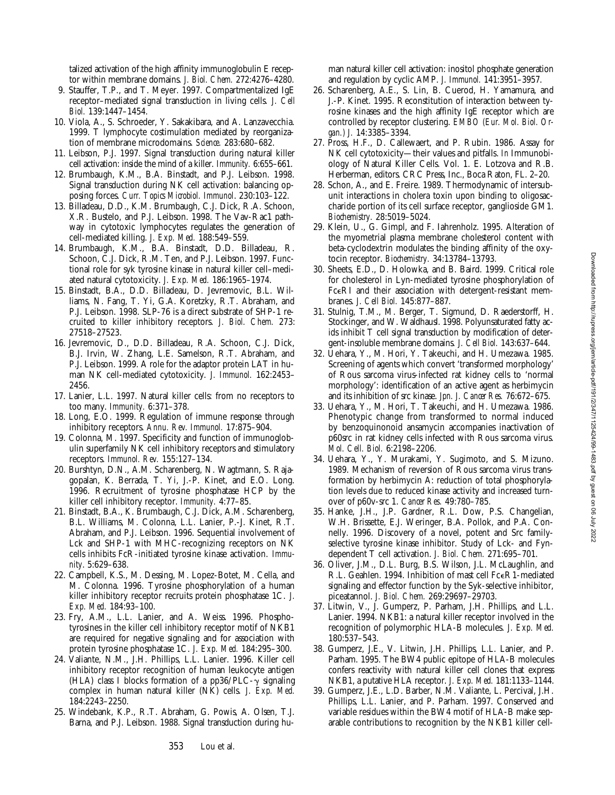talized activation of the high affinity immunoglobulin E receptor within membrane domains. *J. Biol. Chem.* 272:4276–4280.

- 9. Stauffer, T.P., and T. Meyer. 1997. Compartmentalized IgE receptor–mediated signal transduction in living cells. *J. Cell Biol.* 139:1447–1454.
- 10. Viola, A., S. Schroeder, Y. Sakakibara, and A. Lanzavecchia. 1999. T lymphocyte costimulation mediated by reorganization of membrane microdomains. *Science.* 283:680–682.
- 11. Leibson, P.J. 1997. Signal transduction during natural killer cell activation: inside the mind of a killer. *Immunity.* 6:655–661.
- 12. Brumbaugh, K.M., B.A. Binstadt, and P.J. Leibson. 1998. Signal transduction during NK cell activation: balancing opposing forces. *Curr. Topics Microbiol. Immunol*. 230:103–122.
- 13. Billadeau, D.D., K.M. Brumbaugh, C.J. Dick, R.A. Schoon, X.R. Bustelo, and P.J. Leibson. 1998. The Vav-Rac1 pathway in cytotoxic lymphocytes regulates the generation of cell-mediated killing. *J. Exp. Med.* 188:549–559.
- 14. Brumbaugh, K.M., B.A. Binstadt, D.D. Billadeau, R. Schoon, C.J. Dick, R.M. Ten, and P.J. Leibson. 1997. Functional role for syk tyrosine kinase in natural killer cell–mediated natural cytotoxicity. *J. Exp. Med.* 186:1965–1974.
- 15. Binstadt, B.A., D.D. Billadeau, D. Jevremovic, B.L. Williams, N. Fang, T. Yi, G.A. Koretzky, R.T. Abraham, and P.J. Leibson. 1998. SLP-76 is a direct substrate of SHP-1 recruited to killer inhibitory receptors. *J. Biol. Chem.* 273: 27518–27523.
- 16. Jevremovic, D., D.D. Billadeau, R.A. Schoon, C.J. Dick, B.J. Irvin, W. Zhang, L.E. Samelson, R.T. Abraham, and P.J. Leibson. 1999. A role for the adaptor protein LAT in human NK cell-mediated cytotoxicity. *J. Immunol.* 162:2453– 2456.
- 17. Lanier, L.L. 1997. Natural killer cells: from no receptors to too many. *Immunity.* 6:371–378.
- 18. Long, E.O. 1999. Regulation of immune response through inhibitory receptors. *Annu. Rev. Immunol.* 17:875–904.
- 19. Colonna, M. 1997. Specificity and function of immunoglobulin superfamily NK cell inhibitory receptors and stimulatory receptors. *Immunol. Rev.* 155:127–134.
- 20. Burshtyn, D.N., A.M. Scharenberg, N. Wagtmann, S. Rajagopalan, K. Berrada, T. Yi, J.-P. Kinet, and E.O. Long. 1996. Recruitment of tyrosine phosphatase HCP by the killer cell inhibitory receptor. *Immunity.* 4:77–85.
- 21. Binstadt, B.A., K. Brumbaugh, C.J. Dick, A.M. Scharenberg, B.L. Williams, M. Colonna, L.L. Lanier, P.-J. Kinet, R.T. Abraham, and P.J. Leibson. 1996. Sequential involvement of Lck and SHP-1 with MHC-recognizing receptors on NK cells inhibits FcR-initiated tyrosine kinase activation. *Immunity*. 5:629–638.
- 22. Campbell, K.S., M. Dessing, M. Lopez-Botet, M. Cella, and M. Colonna. 1996. Tyrosine phosphorylation of a human killer inhibitory receptor recruits protein phosphatase 1C. *J. Exp. Med.* 184:93–100.
- 23. Fry, A.M., L.L. Lanier, and A. Weiss. 1996. Phosphotyrosines in the killer cell inhibitory receptor motif of NKB1 are required for negative signaling and for association with protein tyrosine phosphatase 1C. *J. Exp. Med.* 184:295–300.
- 24. Valiante, N.M., J.H. Phillips, L.L. Lanier. 1996. Killer cell inhibitory receptor recognition of human leukocyte antigen (HLA) class I blocks formation of a pp36/PLC- $\gamma$  signaling complex in human natural killer (NK) cells. *J. Exp. Med.* 184:2243–2250.
- 25. Windebank, K.P., R.T. Abraham, G. Powis, A. Olsen, T.J. Barna, and P.J. Leibson. 1988. Signal transduction during hu-

man natural killer cell activation: inositol phosphate generation and regulation by cyclic AMP. *J. Immunol.* 141:3951–3957.

- 26. Scharenberg, A.E., S. Lin, B. Cuerod, H. Yamamura, and J.-P. Kinet. 1995. Reconstitution of interaction between tyrosine kinases and the high affinity IgE receptor which are controlled by receptor clustering. *EMBO (Eur. Mol. Biol. Organ.) J.* 14:3385–3394.
- 27. Pross, H.F., D. Callewaert, and P. Rubin. 1986. Assay for NK cell cytotoxicity—their values and pitfalls. *In* Immunobiology of Natural Killer Cells. Vol. 1. E. Lotzova and R.B. Herberman, editors. CRC Press, Inc., Boca Raton, FL. 2–20.
- 28. Schon, A., and E. Freire. 1989. Thermodynamic of intersubunit interactions in cholera toxin upon binding to oligosaccharide portion of its cell surface receptor, ganglioside GM1. *Biochemistry.* 28:5019–5024.
- 29. Klein, U., G. Gimpl, and F. Iahrenholz. 1995. Alteration of the myometrial plasma membrane cholesterol content with beta-cyclodextrin modulates the binding affinity of the oxytocin receptor. *Biochemistry.* 34:13784–13793.
- 30. Sheets, E.D., D. Holowka, and B. Baird. 1999. Critical role for cholesterol in Lyn-mediated tyrosine phosphorylation of FceRI and their association with detergent-resistant membranes. *J. Cell Biol.* 145:877–887.
- 31. Stulnig, T.M., M. Berger, T. Sigmund, D. Raederstorff, H. Stockinger, and W. Waldhausl. 1998. Polyunsaturated fatty acids inhibit T cell signal transduction by modification of detergent-insoluble membrane domains. *J. Cell Biol.* 143:637–644.
- 32. Uehara, Y., M. Hori, Y. Takeuchi, and H. Umezawa. 1985. Screening of agents which convert 'transformed morphology' of Rous sarcoma virus-infected rat kidney cells to 'normal morphology': identification of an active agent as herbimycin and its inhibition of src kinase. *Jpn. J. Cancer Res.* 76:672–675.
- 33. Uehara, Y., M. Hori, T. Takeuchi, and H. Umezawa. 1986. Phenotypic change from transformed to normal induced by benzoquinonoid ansamycin accompanies inactivation of p60src in rat kidney cells infected with Rous sarcoma virus. *Mol. Cell. Biol.* 6:2198–2206.
- 34. Uehara, Y., Y. Murakami, Y. Sugimoto, and S. Mizuno. 1989. Mechanism of reversion of Rous sarcoma virus transformation by herbimycin A: reduction of total phosphorylation levels due to reduced kinase activity and increased turnover of p60v-src 1. *Cancer Res.* 49:780–785.
- 35. Hanke, J.H., J.P. Gardner, R.L. Dow, P.S. Changelian, W.H. Brissette, E.J. Weringer, B.A. Pollok, and P.A. Connelly. 1996. Discovery of a novel, potent and Src familyselective tyrosine kinase inhibitor. Study of Lck- and Fyndependent T cell activation. *J. Biol. Chem.* 271:695–701.
- 36. Oliver, J.M., D.L. Burg, B.S. Wilson, J.L. McLaughlin, and R.L. Geahlen. 1994. Inhibition of mast cell FceR1-mediated signaling and effector function by the Syk-selective inhibitor, piceatannol. *J. Biol. Chem.* 269:29697–29703.
- 37. Litwin, V., J. Gumperz, P. Parham, J.H. Phillips, and L.L. Lanier. 1994. NKB1: a natural killer receptor involved in the recognition of polymorphic HLA-B molecules. *J. Exp. Med.* 180:537–543.
- 38. Gumperz, J.E., V. Litwin, J.H. Phillips, L.L. Lanier, and P. Parham. 1995. The BW4 public epitope of HLA-B molecules confers reactivity with natural killer cell clones that express NKB1, a putative HLA receptor. *J. Exp. Med.* 181:1133–1144.
- 39. Gumperz, J.E., L.D. Barber, N.M. Valiante, L. Percival, J.H. Phillips, L.L. Lanier, and P. Parham. 1997. Conserved and variable residues within the BW4 motif of HLA-B make separable contributions to recognition by the NKB1 killer cell-